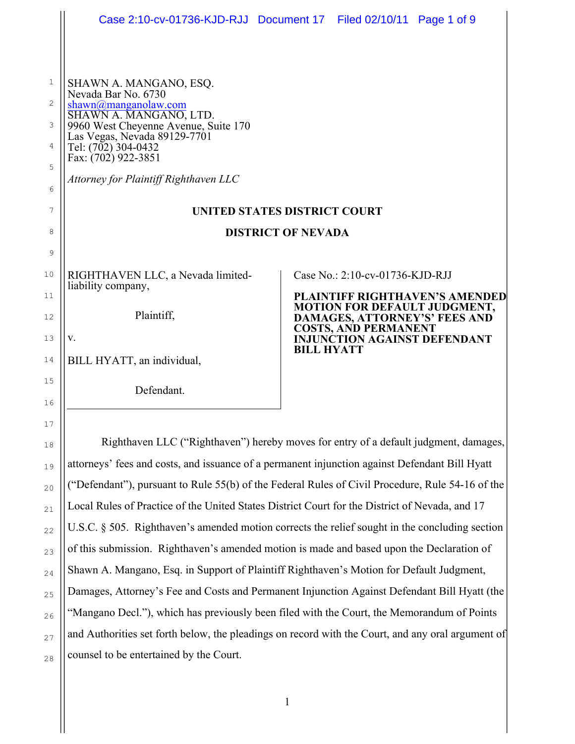|          | Case 2:10-cv-01736-KJD-RJJ Document 17 Filed 02/10/11 Page 1 of 9                                |                                                                                          |                                                                                                                          |  |  |
|----------|--------------------------------------------------------------------------------------------------|------------------------------------------------------------------------------------------|--------------------------------------------------------------------------------------------------------------------------|--|--|
|          |                                                                                                  |                                                                                          |                                                                                                                          |  |  |
| 1        | SHAWN A. MANGANO, ESQ.<br>Nevada Bar No. 6730                                                    |                                                                                          |                                                                                                                          |  |  |
| 2        | shawn@manganolaw.com<br>SHAWN A. MANGANO, LTD.                                                   |                                                                                          |                                                                                                                          |  |  |
| 3        | 9960 West Cheyenne Avenue, Suite 170<br>Las Vegas, Nevada 89129-7701                             |                                                                                          |                                                                                                                          |  |  |
| 4        | Tel: (702) 304-0432<br>Fax: (702) 922-3851                                                       |                                                                                          |                                                                                                                          |  |  |
| 5        | Attorney for Plaintiff Righthaven LLC                                                            |                                                                                          |                                                                                                                          |  |  |
| 6        |                                                                                                  |                                                                                          |                                                                                                                          |  |  |
| 7        | <b>UNITED STATES DISTRICT COURT</b>                                                              |                                                                                          |                                                                                                                          |  |  |
| 8        | <b>DISTRICT OF NEVADA</b>                                                                        |                                                                                          |                                                                                                                          |  |  |
| 9        |                                                                                                  |                                                                                          |                                                                                                                          |  |  |
| 10       | RIGHTHAVEN LLC, a Nevada limited-<br>liability company,                                          |                                                                                          | Case No.: 2:10-cv-01736-KJD-RJJ<br><b>PLAINTIFF RIGHTHAVEN'S AMENDED</b><br>MOTION FOR DEFAULT JUDGMENT,                 |  |  |
| 11       |                                                                                                  |                                                                                          |                                                                                                                          |  |  |
| 12       | Plaintiff,                                                                                       |                                                                                          | DAMAGES, ATTORNEY'S' FEES AND<br><b>COSTS, AND PERMANENT</b><br><b>INJUNCTION AGAINST DEFENDANT</b><br><b>BILL HYATT</b> |  |  |
| 13       | V.                                                                                               |                                                                                          |                                                                                                                          |  |  |
| 14       | BILL HYATT, an individual,                                                                       |                                                                                          |                                                                                                                          |  |  |
| 15       | Defendant.                                                                                       |                                                                                          |                                                                                                                          |  |  |
| 16       |                                                                                                  |                                                                                          |                                                                                                                          |  |  |
| 17<br>18 | Righthaven LLC ("Righthaven") hereby moves for entry of a default judgment, damages,             |                                                                                          |                                                                                                                          |  |  |
| 19       | attorneys' fees and costs, and issuance of a permanent injunction against Defendant Bill Hyatt   |                                                                                          |                                                                                                                          |  |  |
| 20       | ("Defendant"), pursuant to Rule 55(b) of the Federal Rules of Civil Procedure, Rule 54-16 of the |                                                                                          |                                                                                                                          |  |  |
| 21       | Local Rules of Practice of the United States District Court for the District of Nevada, and 17   |                                                                                          |                                                                                                                          |  |  |
| 22       | U.S.C. § 505. Righthaven's amended motion corrects the relief sought in the concluding section   |                                                                                          |                                                                                                                          |  |  |
| 23       | of this submission. Righthaven's amended motion is made and based upon the Declaration of        |                                                                                          |                                                                                                                          |  |  |
| 24       |                                                                                                  | Shawn A. Mangano, Esq. in Support of Plaintiff Righthaven's Motion for Default Judgment, |                                                                                                                          |  |  |

25 26 27 28 Damages, Attorney's Fee and Costs and Permanent Injunction Against Defendant Bill Hyatt (the "Mangano Decl."), which has previously been filed with the Court, the Memorandum of Points and Authorities set forth below, the pleadings on record with the Court, and any oral argument of counsel to be entertained by the Court.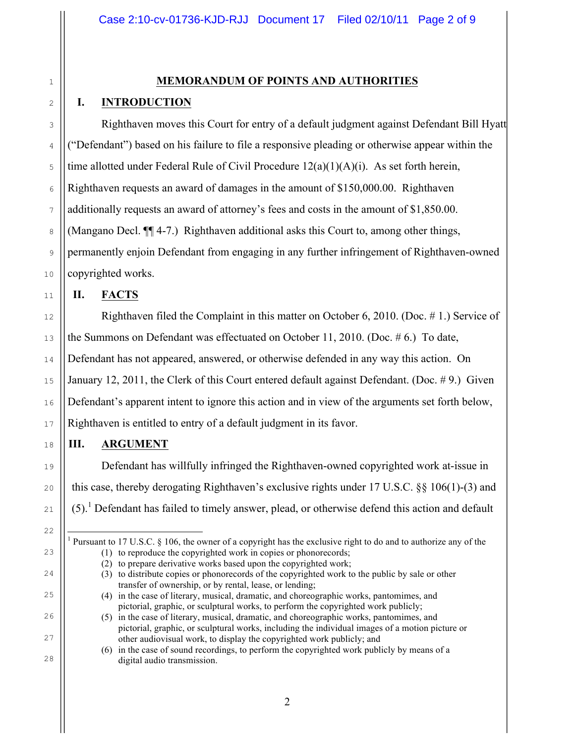# 2

1

### **MEMORANDUM OF POINTS AND AUTHORITIES**

#### **I. INTRODUCTION**

Righthaven moves this Court for entry of a default judgment against Defendant Bill Hyatt ("Defendant") based on his failure to file a responsive pleading or otherwise appear within the time allotted under Federal Rule of Civil Procedure  $12(a)(1)(A)(i)$ . As set forth herein, Righthaven requests an award of damages in the amount of \$150,000.00. Righthaven additionally requests an award of attorney's fees and costs in the amount of \$1,850.00. (Mangano Decl. ¶¶ 4-7.) Righthaven additional asks this Court to, among other things, permanently enjoin Defendant from engaging in any further infringement of Righthaven-owned copyrighted works.

### **II. FACTS**

Righthaven filed the Complaint in this matter on October 6, 2010. (Doc. # 1.) Service of the Summons on Defendant was effectuated on October 11, 2010. (Doc. # 6.) To date, Defendant has not appeared, answered, or otherwise defended in any way this action. On January 12, 2011, the Clerk of this Court entered default against Defendant. (Doc. # 9.) Given Defendant's apparent intent to ignore this action and in view of the arguments set forth below, Righthaven is entitled to entry of a default judgment in its favor.

#### **III. ARGUMENT**

Defendant has willfully infringed the Righthaven-owned copyrighted work at-issue in this case, thereby derogating Righthaven's exclusive rights under 17 U.S.C. §§ 106(1)-(3) and  $(5)$ .<sup>1</sup> Defendant has failed to timely answer, plead, or otherwise defend this action and default

i

Pursuant to 17 U.S.C. § 106, the owner of a copyright has the exclusive right to do and to authorize any of the (1) to reproduce the copyrighted work in copies or phonorecords;

<sup>(2)</sup> to prepare derivative works based upon the copyrighted work;

<sup>(3)</sup> to distribute copies or phonorecords of the copyrighted work to the public by sale or other transfer of ownership, or by rental, lease, or lending;

<sup>(4)</sup> in the case of literary, musical, dramatic, and choreographic works, pantomimes, and pictorial, graphic, or sculptural works, to perform the copyrighted work publicly;

<sup>(5)</sup> in the case of literary, musical, dramatic, and choreographic works, pantomimes, and pictorial, graphic, or sculptural works, including the individual images of a motion picture or other audiovisual work, to display the copyrighted work publicly; and

<sup>(6)</sup> in the case of sound recordings, to perform the copyrighted work publicly by means of a digital audio transmission.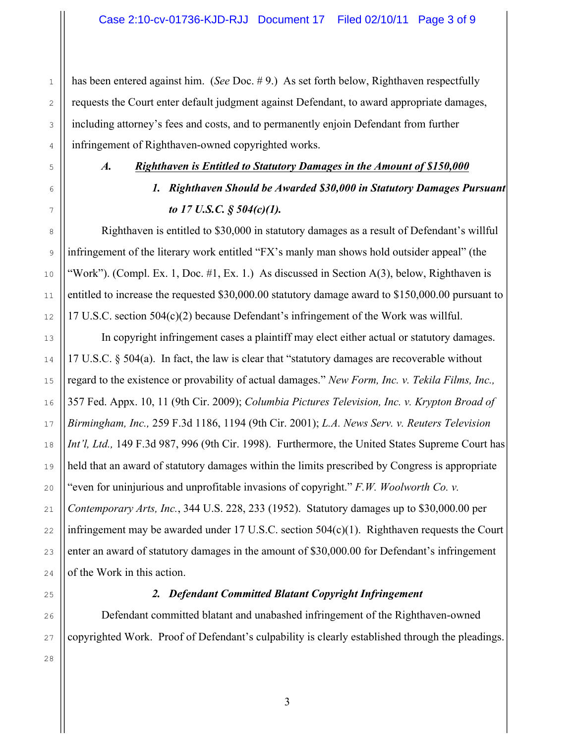has been entered against him. (*See* Doc. #9.) As set forth below, Righthaven respectfully requests the Court enter default judgment against Defendant, to award appropriate damages, including attorney's fees and costs, and to permanently enjoin Defendant from further infringement of Righthaven-owned copyrighted works.

1

2

3

4

5

6

7

8

9

10

11

12

13

14

15

16

17

18

19

20

21

22

23

24

26

27

#### *A. Righthaven is Entitled to Statutory Damages in the Amount of \$150,000*

# *1. Righthaven Should be Awarded \$30,000 in Statutory Damages Pursuant to 17 U.S.C. § 504(c)(1).*

Righthaven is entitled to \$30,000 in statutory damages as a result of Defendant's willful infringement of the literary work entitled "FX's manly man shows hold outsider appeal" (the "Work"). (Compl. Ex. 1, Doc. #1, Ex. 1.) As discussed in Section  $A(3)$ , below, Righthaven is entitled to increase the requested \$30,000.00 statutory damage award to \$150,000.00 pursuant to 17 U.S.C. section 504(c)(2) because Defendant's infringement of the Work was willful.

In copyright infringement cases a plaintiff may elect either actual or statutory damages. 17 U.S.C. § 504(a). In fact, the law is clear that "statutory damages are recoverable without regard to the existence or provability of actual damages." *New Form, Inc. v. Tekila Films, Inc.,* 357 Fed. Appx. 10, 11 (9th Cir. 2009); *Columbia Pictures Television, Inc. v. Krypton Broad of Birmingham, Inc.,* 259 F.3d 1186, 1194 (9th Cir. 2001); *L.A. News Serv. v. Reuters Television Int'l, Ltd.,* 149 F.3d 987, 996 (9th Cir. 1998). Furthermore, the United States Supreme Court has held that an award of statutory damages within the limits prescribed by Congress is appropriate "even for uninjurious and unprofitable invasions of copyright." *F.W. Woolworth Co. v. Contemporary Arts, Inc.*, 344 U.S. 228, 233 (1952). Statutory damages up to \$30,000.00 per infringement may be awarded under 17 U.S.C. section 504(c)(1). Righthaven requests the Court enter an award of statutory damages in the amount of \$30,000.00 for Defendant's infringement of the Work in this action.

25

#### *2. Defendant Committed Blatant Copyright Infringement*

Defendant committed blatant and unabashed infringement of the Righthaven-owned copyrighted Work. Proof of Defendant's culpability is clearly established through the pleadings.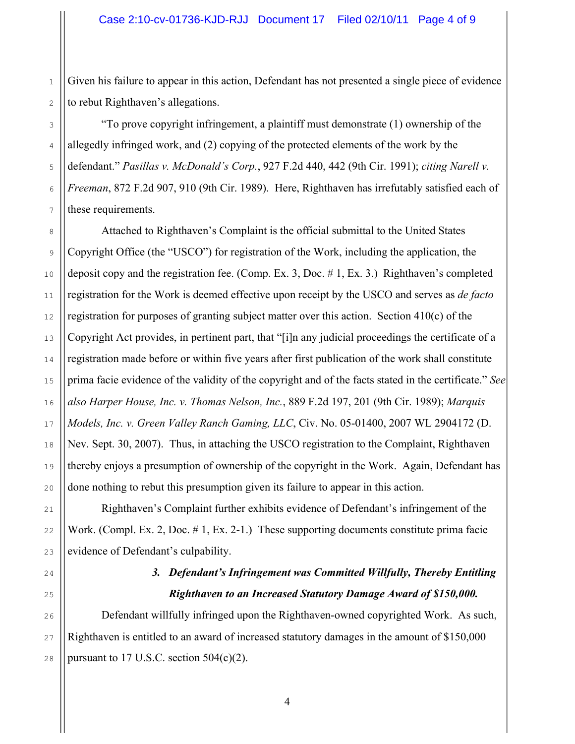Given his failure to appear in this action, Defendant has not presented a single piece of evidence to rebut Righthaven's allegations.

"To prove copyright infringement, a plaintiff must demonstrate (1) ownership of the allegedly infringed work, and (2) copying of the protected elements of the work by the defendant." *Pasillas v. McDonald's Corp.*, 927 F.2d 440, 442 (9th Cir. 1991); *citing Narell v. Freeman*, 872 F.2d 907, 910 (9th Cir. 1989). Here, Righthaven has irrefutably satisfied each of these requirements.

Attached to Righthaven's Complaint is the official submittal to the United States Copyright Office (the "USCO") for registration of the Work, including the application, the deposit copy and the registration fee. (Comp. Ex. 3, Doc. # 1, Ex. 3.) Righthaven's completed registration for the Work is deemed effective upon receipt by the USCO and serves as *de facto*  registration for purposes of granting subject matter over this action. Section 410(c) of the Copyright Act provides, in pertinent part, that "[i]n any judicial proceedings the certificate of a registration made before or within five years after first publication of the work shall constitute prima facie evidence of the validity of the copyright and of the facts stated in the certificate." *See also Harper House, Inc. v. Thomas Nelson, Inc.*, 889 F.2d 197, 201 (9th Cir. 1989); *Marquis Models, Inc. v. Green Valley Ranch Gaming, LLC*, Civ. No. 05-01400, 2007 WL 2904172 (D. Nev. Sept. 30, 2007). Thus, in attaching the USCO registration to the Complaint, Righthaven thereby enjoys a presumption of ownership of the copyright in the Work. Again, Defendant has done nothing to rebut this presumption given its failure to appear in this action.

Righthaven's Complaint further exhibits evidence of Defendant's infringement of the Work. (Compl. Ex. 2, Doc. # 1, Ex. 2-1.) These supporting documents constitute prima facie evidence of Defendant's culpability.

## *3. Defendant's Infringement was Committed Willfully, Thereby Entitling Righthaven to an Increased Statutory Damage Award of \$150,000.*

Defendant willfully infringed upon the Righthaven-owned copyrighted Work. As such, Righthaven is entitled to an award of increased statutory damages in the amount of \$150,000 pursuant to  $17$  U.S.C. section  $504(c)(2)$ .

1

2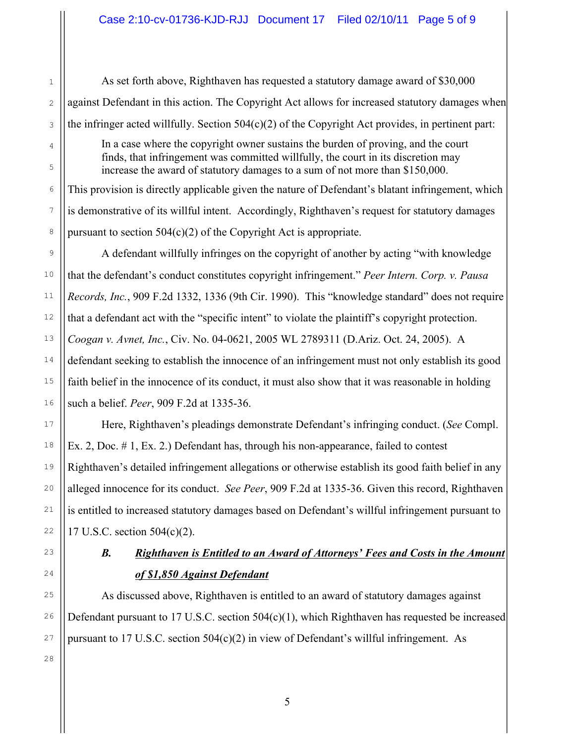As set forth above, Righthaven has requested a statutory damage award of \$30,000 against Defendant in this action. The Copyright Act allows for increased statutory damages when the infringer acted willfully. Section  $504(c)(2)$  of the Copyright Act provides, in pertinent part:

In a case where the copyright owner sustains the burden of proving, and the court finds, that infringement was committed willfully, the court in its discretion may increase the award of statutory damages to a sum of not more than \$150,000.

This provision is directly applicable given the nature of Defendant's blatant infringement, which is demonstrative of its willful intent. Accordingly, Righthaven's request for statutory damages pursuant to section  $504(c)(2)$  of the Copyright Act is appropriate.

A defendant willfully infringes on the copyright of another by acting "with knowledge that the defendant's conduct constitutes copyright infringement." *Peer Intern. Corp. v. Pausa Records, Inc.*, 909 F.2d 1332, 1336 (9th Cir. 1990). This "knowledge standard" does not require that a defendant act with the "specific intent" to violate the plaintiff's copyright protection. *Coogan v. Avnet, Inc.*, Civ. No. 04-0621, 2005 WL 2789311 (D.Ariz. Oct. 24, 2005). A defendant seeking to establish the innocence of an infringement must not only establish its good faith belief in the innocence of its conduct, it must also show that it was reasonable in holding such a belief. *Peer*, 909 F.2d at 1335-36.

Here, Righthaven's pleadings demonstrate Defendant's infringing conduct. (*See* Compl. Ex. 2, Doc. # 1, Ex. 2.) Defendant has, through his non-appearance, failed to contest Righthaven's detailed infringement allegations or otherwise establish its good faith belief in any alleged innocence for its conduct. *See Peer*, 909 F.2d at 1335-36. Given this record, Righthaven is entitled to increased statutory damages based on Defendant's willful infringement pursuant to 17 U.S.C. section 504(c)(2).

## *B. Righthaven is Entitled to an Award of Attorneys' Fees and Costs in the Amount of \$1,850 Against Defendant*

As discussed above, Righthaven is entitled to an award of statutory damages against Defendant pursuant to 17 U.S.C. section  $504(c)(1)$ , which Righthaven has requested be increased pursuant to 17 U.S.C. section 504(c)(2) in view of Defendant's willful infringement. As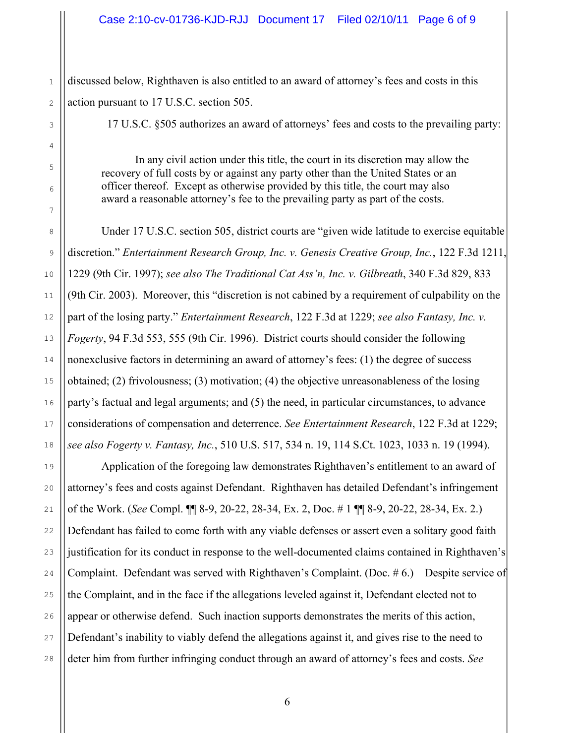#### Case 2:10-cv-01736-KJD-RJJ Document 17 Filed 02/10/11 Page 6 of 9

discussed below, Righthaven is also entitled to an award of attorney's fees and costs in this action pursuant to 17 U.S.C. section 505.

17 U.S.C. §505 authorizes an award of attorneys' fees and costs to the prevailing party:

In any civil action under this title, the court in its discretion may allow the recovery of full costs by or against any party other than the United States or an officer thereof. Except as otherwise provided by this title, the court may also award a reasonable attorney's fee to the prevailing party as part of the costs.

Under 17 U.S.C. section 505, district courts are "given wide latitude to exercise equitable discretion." *Entertainment Research Group, Inc. v. Genesis Creative Group, Inc.*, 122 F.3d 1211, 1229 (9th Cir. 1997); *see also The Traditional Cat Ass'n, Inc. v. Gilbreath*, 340 F.3d 829, 833 (9th Cir. 2003). Moreover, this "discretion is not cabined by a requirement of culpability on the part of the losing party." *Entertainment Research*, 122 F.3d at 1229; *see also Fantasy, Inc. v. Fogerty*, 94 F.3d 553, 555 (9th Cir. 1996). District courts should consider the following nonexclusive factors in determining an award of attorney's fees: (1) the degree of success obtained; (2) frivolousness; (3) motivation; (4) the objective unreasonableness of the losing party's factual and legal arguments; and (5) the need, in particular circumstances, to advance considerations of compensation and deterrence. *See Entertainment Research*, 122 F.3d at 1229; *see also Fogerty v. Fantasy, Inc.*, 510 U.S. 517, 534 n. 19, 114 S.Ct. 1023, 1033 n. 19 (1994).

Application of the foregoing law demonstrates Righthaven's entitlement to an award of attorney's fees and costs against Defendant. Righthaven has detailed Defendant's infringement of the Work. (*See* Compl. ¶¶ 8-9, 20-22, 28-34, Ex. 2, Doc. # 1 ¶¶ 8-9, 20-22, 28-34, Ex. 2.) Defendant has failed to come forth with any viable defenses or assert even a solitary good faith justification for its conduct in response to the well-documented claims contained in Righthaven's Complaint. Defendant was served with Righthaven's Complaint. (Doc. # 6.) Despite service of the Complaint, and in the face if the allegations leveled against it, Defendant elected not to appear or otherwise defend. Such inaction supports demonstrates the merits of this action, Defendant's inability to viably defend the allegations against it, and gives rise to the need to deter him from further infringing conduct through an award of attorney's fees and costs. *See*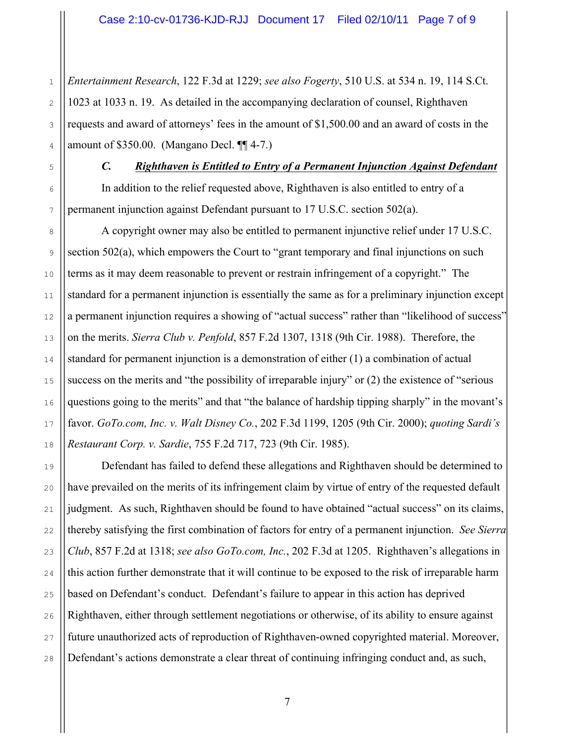*Entertainment Research*, 122 F.3d at 1229; *see also Fogerty*, 510 U.S. at 534 n. 19, 114 S.Ct. 1023 at 1033 n. 19. As detailed in the accompanying declaration of counsel, Righthaven requests and award of attorneys' fees in the amount of \$1,500.00 and an award of costs in the amount of \$350.00. (Mangano Decl. ¶¶ 4-7.)

*C. Righthaven is Entitled to Entry of a Permanent Injunction Against Defendant* In addition to the relief requested above, Righthaven is also entitled to entry of a

permanent injunction against Defendant pursuant to 17 U.S.C. section 502(a).

A copyright owner may also be entitled to permanent injunctive relief under 17 U.S.C. section 502(a), which empowers the Court to "grant temporary and final injunctions on such terms as it may deem reasonable to prevent or restrain infringement of a copyright." The standard for a permanent injunction is essentially the same as for a preliminary injunction except a permanent injunction requires a showing of "actual success" rather than "likelihood of success" on the merits. *Sierra Club v. Penfold*, 857 F.2d 1307, 1318 (9th Cir. 1988). Therefore, the standard for permanent injunction is a demonstration of either (1) a combination of actual success on the merits and "the possibility of irreparable injury" or (2) the existence of "serious questions going to the merits" and that "the balance of hardship tipping sharply" in the movant's favor. *GoTo.com, Inc. v. Walt Disney Co.*, 202 F.3d 1199, 1205 (9th Cir. 2000); *quoting Sardi's Restaurant Corp. v. Sardie*, 755 F.2d 717, 723 (9th Cir. 1985).

Defendant has failed to defend these allegations and Righthaven should be determined to have prevailed on the merits of its infringement claim by virtue of entry of the requested default judgment. As such, Righthaven should be found to have obtained "actual success" on its claims, thereby satisfying the first combination of factors for entry of a permanent injunction. *See Sierra Club*, 857 F.2d at 1318; *see also GoTo.com, Inc.*, 202 F.3d at 1205. Righthaven's allegations in this action further demonstrate that it will continue to be exposed to the risk of irreparable harm based on Defendant's conduct. Defendant's failure to appear in this action has deprived Righthaven, either through settlement negotiations or otherwise, of its ability to ensure against future unauthorized acts of reproduction of Righthaven-owned copyrighted material. Moreover, Defendant's actions demonstrate a clear threat of continuing infringing conduct and, as such,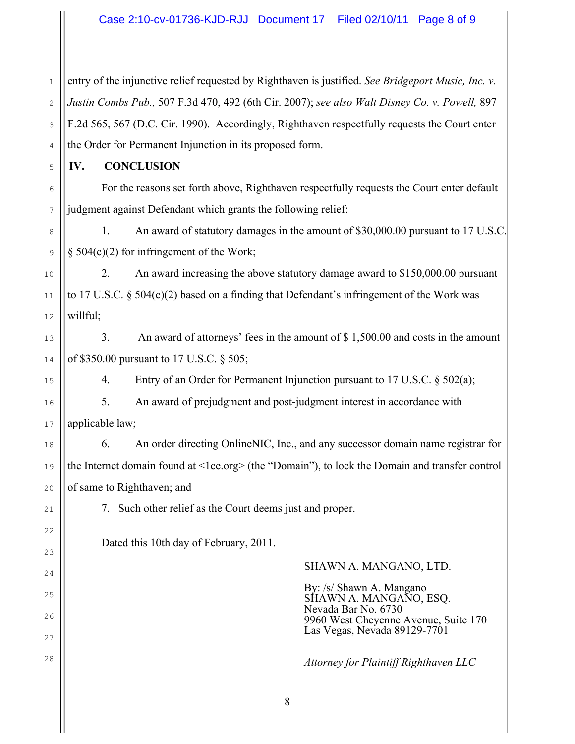1 2 3 4 entry of the injunctive relief requested by Righthaven is justified. *See Bridgeport Music, Inc. v. Justin Combs Pub.,* 507 F.3d 470, 492 (6th Cir. 2007); *see also Walt Disney Co. v. Powell,* 897 F.2d 565, 567 (D.C. Cir. 1990). Accordingly, Righthaven respectfully requests the Court enter the Order for Permanent Injunction in its proposed form.

**IV. CONCLUSION**

5

6

7

9

10

11

12

13

14

15

16

17

18

19

20

21

22

23

24

25

26

27

28

For the reasons set forth above, Righthaven respectfully requests the Court enter default judgment against Defendant which grants the following relief:

8 1. An award of statutory damages in the amount of \$30,000.00 pursuant to 17 U.S.C.  $§$  504(c)(2) for infringement of the Work;

2. An award increasing the above statutory damage award to \$150,000.00 pursuant to 17 U.S.C. § 504(c)(2) based on a finding that Defendant's infringement of the Work was willful;

3. An award of attorneys' fees in the amount of \$ 1,500.00 and costs in the amount of \$350.00 pursuant to 17 U.S.C. § 505;

4. Entry of an Order for Permanent Injunction pursuant to 17 U.S.C. § 502(a);

5. An award of prejudgment and post-judgment interest in accordance with applicable law;

6. An order directing OnlineNIC, Inc., and any successor domain name registrar for the Internet domain found at <1ce.org> (the "Domain"), to lock the Domain and transfer control of same to Righthaven; and

7. Such other relief as the Court deems just and proper.

Dated this 10th day of February, 2011.

#### SHAWN A. MANGANO, LTD.

By: /s/ Shawn A. Mangano SHAWN A. MANGANO, ESQ. Nevada Bar No. 6730 9960 West Cheyenne Avenue, Suite 170 Las Vegas, Nevada 89129-7701

*Attorney for Plaintiff Righthaven LLC*